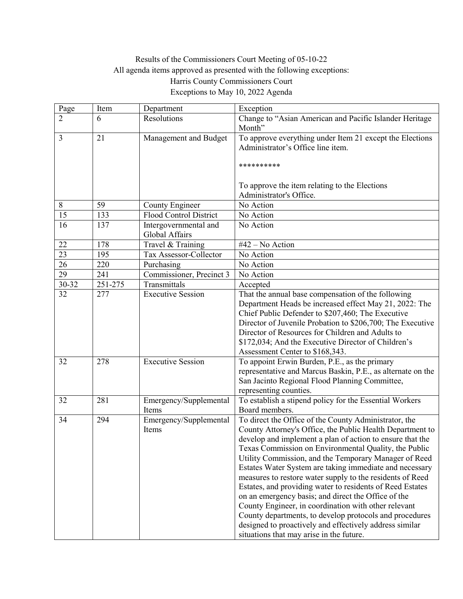## Results of the Commissioners Court Meeting of 05-10-22 All agenda items approved as presented with the following exceptions: Harris County Commissioners Court Exceptions to May 10, 2022 Agenda

| Page            | Item        | Department                              | Exception                                                                                                                                                                                                                                                                                                                                                                                                                                                                                                                                                                                                                                                                                                                                                               |
|-----------------|-------------|-----------------------------------------|-------------------------------------------------------------------------------------------------------------------------------------------------------------------------------------------------------------------------------------------------------------------------------------------------------------------------------------------------------------------------------------------------------------------------------------------------------------------------------------------------------------------------------------------------------------------------------------------------------------------------------------------------------------------------------------------------------------------------------------------------------------------------|
| 2               | 6           | Resolutions                             | Change to "Asian American and Pacific Islander Heritage<br>Month"                                                                                                                                                                                                                                                                                                                                                                                                                                                                                                                                                                                                                                                                                                       |
| 3               | 21          | Management and Budget                   | To approve everything under Item 21 except the Elections<br>Administrator's Office line item.<br>**********                                                                                                                                                                                                                                                                                                                                                                                                                                                                                                                                                                                                                                                             |
|                 |             |                                         | To approve the item relating to the Elections<br>Administrator's Office.                                                                                                                                                                                                                                                                                                                                                                                                                                                                                                                                                                                                                                                                                                |
| 8               | 59          | County Engineer                         | No Action                                                                                                                                                                                                                                                                                                                                                                                                                                                                                                                                                                                                                                                                                                                                                               |
| 15              | 133         | Flood Control District                  | No Action                                                                                                                                                                                                                                                                                                                                                                                                                                                                                                                                                                                                                                                                                                                                                               |
| 16              | 137         | Intergovernmental and<br>Global Affairs | No Action                                                                                                                                                                                                                                                                                                                                                                                                                                                                                                                                                                                                                                                                                                                                                               |
| $22\,$          | 178         | Travel & Training                       | #42 - No Action                                                                                                                                                                                                                                                                                                                                                                                                                                                                                                                                                                                                                                                                                                                                                         |
| $\overline{23}$ | 195         | Tax Assessor-Collector                  | No Action                                                                                                                                                                                                                                                                                                                                                                                                                                                                                                                                                                                                                                                                                                                                                               |
| $\overline{26}$ | 220         | Purchasing                              | No Action                                                                                                                                                                                                                                                                                                                                                                                                                                                                                                                                                                                                                                                                                                                                                               |
| $\overline{29}$ | 241         | Commissioner, Precinct 3                | No Action                                                                                                                                                                                                                                                                                                                                                                                                                                                                                                                                                                                                                                                                                                                                                               |
| 30-32           | $251 - 275$ | Transmittals                            | Accepted                                                                                                                                                                                                                                                                                                                                                                                                                                                                                                                                                                                                                                                                                                                                                                |
| 32              | 277         | <b>Executive Session</b>                | That the annual base compensation of the following<br>Department Heads be increased effect May 21, 2022: The<br>Chief Public Defender to \$207,460; The Executive<br>Director of Juvenile Probation to \$206,700; The Executive<br>Director of Resources for Children and Adults to<br>\$172,034; And the Executive Director of Children's<br>Assessment Center to \$168,343.                                                                                                                                                                                                                                                                                                                                                                                           |
| 32              | 278         | <b>Executive Session</b>                | To appoint Erwin Burden, P.E., as the primary<br>representative and Marcus Baskin, P.E., as alternate on the<br>San Jacinto Regional Flood Planning Committee,<br>representing counties.                                                                                                                                                                                                                                                                                                                                                                                                                                                                                                                                                                                |
| 32              | 281         | Emergency/Supplemental<br>Items         | To establish a stipend policy for the Essential Workers<br>Board members.                                                                                                                                                                                                                                                                                                                                                                                                                                                                                                                                                                                                                                                                                               |
| 34              | 294         | Emergency/Supplemental<br>Items         | To direct the Office of the County Administrator, the<br>County Attorney's Office, the Public Health Department to<br>develop and implement a plan of action to ensure that the<br>Texas Commission on Environmental Quality, the Public<br>Utility Commission, and the Temporary Manager of Reed<br>Estates Water System are taking immediate and necessary<br>measures to restore water supply to the residents of Reed<br>Estates, and providing water to residents of Reed Estates<br>on an emergency basis; and direct the Office of the<br>County Engineer, in coordination with other relevant<br>County departments, to develop protocols and procedures<br>designed to proactively and effectively address similar<br>situations that may arise in the future. |